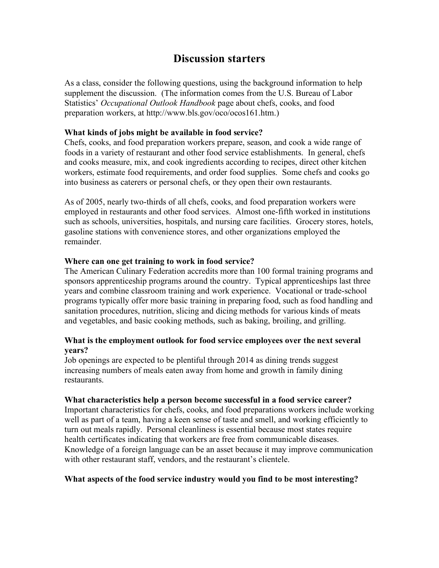## **Discussion starters**

As a class, consider the following questions, using the background information to help supplement the discussion. (The information comes from the U.S. Bureau of Labor Statistics' *Occupational Outlook Handbook* page about chefs, cooks, and food preparation workers, at http://www.bls.gov/oco/ocos161.htm.)

#### **What kinds of jobs might be available in food service?**

Chefs, cooks, and food preparation workers prepare, season, and cook a wide range of foods in a variety of restaurant and other food service establishments. In general, chefs and cooks measure, mix, and cook ingredients according to recipes, direct other kitchen workers, estimate food requirements, and order food supplies. Some chefs and cooks go into business as caterers or personal chefs, or they open their own restaurants.

As of 2005, nearly two-thirds of all chefs, cooks, and food preparation workers were employed in restaurants and other food services. Almost one-fifth worked in institutions such as schools, universities, hospitals, and nursing care facilities. Grocery stores, hotels, gasoline stations with convenience stores, and other organizations employed the remainder.

#### **Where can one get training to work in food service?**

The American Culinary Federation accredits more than 100 formal training programs and sponsors apprenticeship programs around the country. Typical apprenticeships last three years and combine classroom training and work experience. Vocational or trade-school programs typically offer more basic training in preparing food, such as food handling and sanitation procedures, nutrition, slicing and dicing methods for various kinds of meats and vegetables, and basic cooking methods, such as baking, broiling, and grilling.

#### **What is the employment outlook for food service employees over the next several years?**

Job openings are expected to be plentiful through 2014 as dining trends suggest increasing numbers of meals eaten away from home and growth in family dining restaurants.

#### **What characteristics help a person become successful in a food service career?**

Important characteristics for chefs, cooks, and food preparations workers include working well as part of a team, having a keen sense of taste and smell, and working efficiently to turn out meals rapidly. Personal cleanliness is essential because most states require health certificates indicating that workers are free from communicable diseases. Knowledge of a foreign language can be an asset because it may improve communication with other restaurant staff, vendors, and the restaurant's clientele.

#### **What aspects of the food service industry would you find to be most interesting?**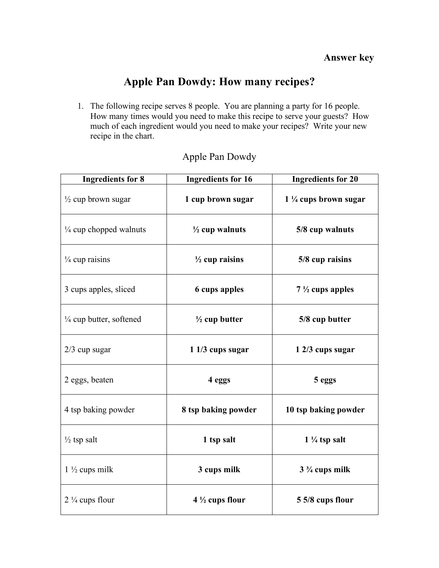# **Apple Pan Dowdy: How many recipes?**

1. The following recipe serves 8 people. You are planning a party for 16 people. How many times would you need to make this recipe to serve your guests? How much of each ingredient would you need to make your recipes? Write your new recipe in the chart.

| <b>Ingredients for 8</b>           | <b>Ingredients for 16</b> | <b>Ingredients for 20</b>       |
|------------------------------------|---------------------------|---------------------------------|
| $\frac{1}{2}$ cup brown sugar      | 1 cup brown sugar         | $1\frac{1}{4}$ cups brown sugar |
| $\frac{1}{4}$ cup chopped walnuts  | $\frac{1}{2}$ cup walnuts | 5/8 cup walnuts                 |
| $\frac{1}{4}$ cup raisins          | $\frac{1}{2}$ cup raisins | 5/8 cup raisins                 |
| 3 cups apples, sliced              | <b>6 cups apples</b>      | $7\frac{1}{2}$ cups apples      |
| $\frac{1}{4}$ cup butter, softened | $\frac{1}{2}$ cup butter  | 5/8 cup butter                  |
| $2/3$ cup sugar                    | 1 1/3 cups sugar          | 1 2/3 cups sugar                |
| 2 eggs, beaten                     | 4 eggs                    | 5 eggs                          |
| 4 tsp baking powder                | 8 tsp baking powder       | 10 tsp baking powder            |
| $\frac{1}{2}$ tsp salt             | 1 tsp salt                | $1\frac{1}{4}$ tsp salt         |
| $1\frac{1}{2}$ cups milk           | 3 cups milk               | $3\frac{3}{4}$ cups milk        |
| $2\frac{1}{4}$ cups flour          | $4\frac{1}{2}$ cups flour | 5 5/8 cups flour                |

### Apple Pan Dowdy